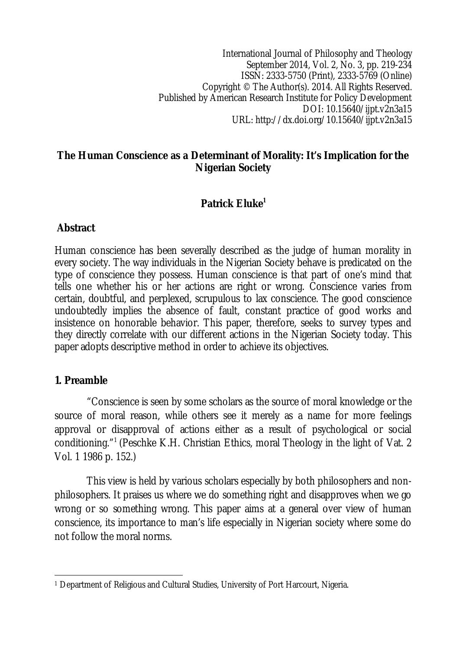International Journal of Philosophy and Theology September 2014, Vol. 2, No. 3, pp. 219-234 ISSN: 2333-5750 (Print), 2333-5769 (Online) Copyright © The Author(s). 2014. All Rights Reserved. Published by American Research Institute for Policy Development DOI: 10.15640/ijpt.v2n3a15 URL: http://dx.doi.org/10.15640/ijpt.v2n3a15

### **The Human Conscience as a Determinant of Morality: It's Implication for the Nigerian Society**

## **Patrick Eluke<sup>1</sup>**

### **Abstract**

Human conscience has been severally described as the judge of human morality in every society. The way individuals in the Nigerian Society behave is predicated on the type of conscience they possess. Human conscience is that part of one's mind that tells one whether his or her actions are right or wrong. Conscience varies from certain, doubtful, and perplexed, scrupulous to lax conscience. The good conscience undoubtedly implies the absence of fault, constant practice of good works and insistence on honorable behavior. This paper, therefore, seeks to survey types and they directly correlate with our different actions in the Nigerian Society today. This paper adopts descriptive method in order to achieve its objectives.

### **1. Preamble**

"Conscience is seen by some scholars as the source of moral knowledge or the source of moral reason, while others see it merely as a name for more feelings approval or disapproval of actions either as a result of psychological or social conditioning."<sup>1</sup>(Peschke K.H. Christian Ethics, moral Theology in the light of Vat. 2 Vol. 1 1986 p. 152.)

This view is held by various scholars especially by both philosophers and nonphilosophers. It praises us where we do something right and disapproves when we go wrong or so something wrong. This paper aims at a general over view of human conscience, its importance to man's life especially in Nigerian society where some do not follow the moral norms.

 $\overline{a}$ <sup>1</sup> Department of Religious and Cultural Studies, University of Port Harcourt, Nigeria.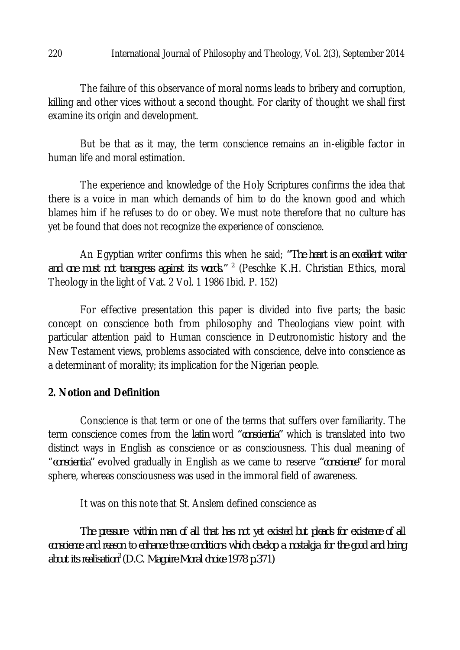#### 220 International Journal of Philosophy and Theology, Vol. 2(3), September 2014

The failure of this observance of moral norms leads to bribery and corruption, killing and other vices without a second thought. For clarity of thought we shall first examine its origin and development.

But be that as it may, the term conscience remains an in-eligible factor in human life and moral estimation.

The experience and knowledge of the Holy Scriptures confirms the idea that there is a voice in man which demands of him to do the known good and which blames him if he refuses to do or obey. We must note therefore that no culture has yet be found that does not recognize the experience of conscience.

An Egyptian writer confirms this when he said; *"The heart is an excellent writer and one must not transgress against its words." <sup>2</sup>* (Peschke K.H. Christian Ethics, moral Theology in the light of Vat. 2 Vol. 1 1986 Ibid. P. 152)

For effective presentation this paper is divided into five parts; the basic concept on conscience both from philosophy and Theologians view point with particular attention paid to Human conscience in Deutronomistic history and the New Testament views, problems associated with conscience, delve into conscience as a determinant of morality; its implication for the Nigerian people.

### **2. Notion and Definition**

Conscience is that term or one of the terms that suffers over familiarity. The term conscience comes from the *latin* word *"conscientia"* which is translated into two distinct ways in English as conscience or as consciousness. This dual meaning of "*conscientia"* evolved gradually in English as we came to reserve *"conscience"* for moral sphere, whereas consciousness was used in the immoral field of awareness.

It was on this note that St. Anslem defined conscience as

*The pressure within man of all that has not yet existed but pleads for existence of all conscience and reason to enhance those conditions which develop a nostalgia for the good and bring about its realisation<sup>3</sup>(D.C. Maguire Moral choice 1978 p.371)*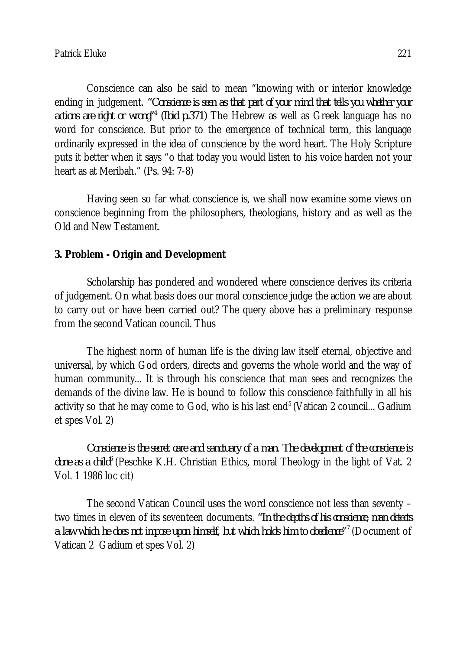Conscience can also be said to mean "knowing with or interior knowledge ending in judgement. *"Conscience is seen as that part of your mind that tells you whether your actions are right or wrong"<sup>4</sup> (Ibid p.371)* The Hebrew as well as Greek language has no word for conscience. But prior to the emergence of technical term, this language ordinarily expressed in the idea of conscience by the word heart. The Holy Scripture puts it better when it says "o that today you would listen to his voice harden not your heart as at Meribah." (Ps. 94: 7-8)

Having seen so far what conscience is, we shall now examine some views on conscience beginning from the philosophers, theologians, history and as well as the Old and New Testament.

### **3. Problem - Origin and Development**

Scholarship has pondered and wondered where conscience derives its criteria of judgement. On what basis does our moral conscience judge the action we are about to carry out or have been carried out? The query above has a preliminary response from the second Vatican council. Thus

The highest norm of human life is the diving law itself eternal, objective and universal, by which God orders, directs and governs the whole world and the way of human community... It is through his conscience that man sees and recognizes the demands of the divine law. He is bound to follow this conscience faithfully in all his activity so that he may come to God, who is his last end<sup>5</sup> (Vatican 2 council... Gadium et spes Vol. 2)

*Conscience is the secret care and sanctuary of a man. The development of the conscience is done as a child<sup>6</sup>*(Peschke K.H. Christian Ethics, moral Theology in the light of Vat. 2 Vol. 1 1986 loc cit)

The second Vatican Council uses the word conscience not less than seventy – two times in eleven of its seventeen documents. *"In the depths of his conscience, man detects a law which he does not impose upon himself, but which holds him to obedience"<sup>7</sup>*(Document of Vatican 2 Gadium et spes Vol. 2)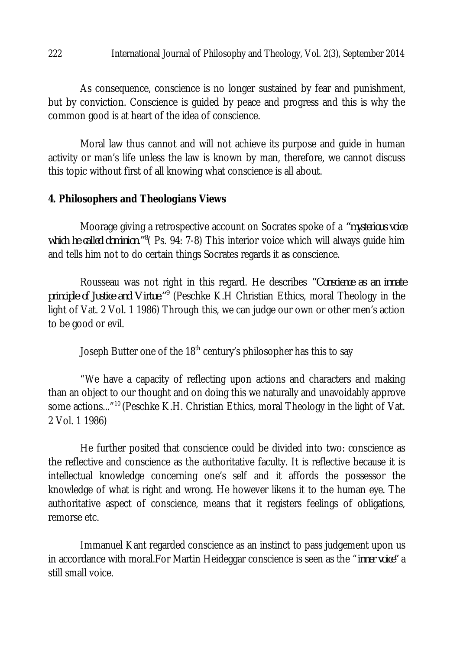#### 222 International Journal of Philosophy and Theology, Vol. 2(3), September 2014

As consequence, conscience is no longer sustained by fear and punishment, but by conviction. Conscience is guided by peace and progress and this is why the common good is at heart of the idea of conscience.

Moral law thus cannot and will not achieve its purpose and guide in human activity or man's life unless the law is known by man, therefore, we cannot discuss this topic without first of all knowing what conscience is all about.

#### **4. Philosophers and Theologians Views**

Moorage giving a retrospective account on Socrates spoke of a *"mysterious voice*  which he called dominion.<sup>"<sup>8</sup> (Ps. 94: 7-8) This interior voice which will always guide him</sup> and tells him not to do certain things Socrates regards it as conscience.

Rousseau was not right in this regard. He describes *"Conscience as an innate principle of Justice and Virtue."<sup>9</sup>* (Peschke K.H Christian Ethics, moral Theology in the light of Vat. 2 Vol. 1 1986) Through this, we can judge our own or other men's action to be good or evil.

Joseph Butter one of the 18<sup>th</sup> century's philosopher has this to say

"We have a capacity of reflecting upon actions and characters and making than an object to our thought and on doing this we naturally and unavoidably approve some actions..."<sup>10</sup> (Peschke K.H. Christian Ethics, moral Theology in the light of Vat. 2 Vol. 1 1986)

He further posited that conscience could be divided into two: conscience as the reflective and conscience as the authoritative faculty. It is reflective because it is intellectual knowledge concerning one's self and it affords the possessor the knowledge of what is right and wrong. He however likens it to the human eye. The authoritative aspect of conscience, means that it registers feelings of obligations, remorse etc.

Immanuel Kant regarded conscience as an instinct to pass judgement upon us in accordance with moral.For Martin Heideggar conscience is seen as the "*inner voice"* a still small voice.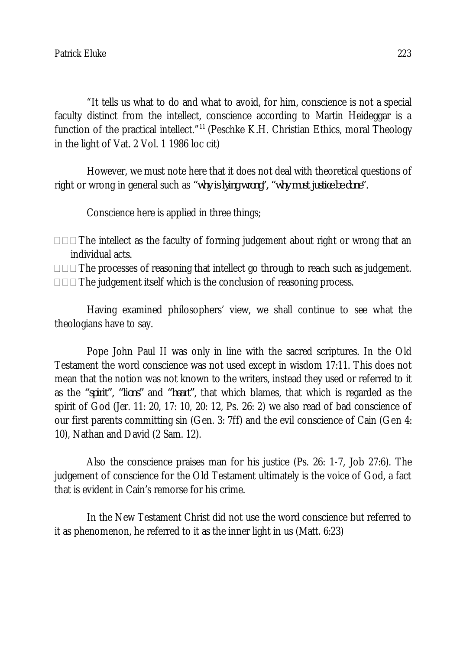"It tells us what to do and what to avoid, for him, conscience is not a special faculty distinct from the intellect, conscience according to Martin Heideggar is a function of the practical intellect."<sup>11</sup> (Peschke K.H. Christian Ethics, moral Theology in the light of Vat. 2 Vol. 1 1986 loc cit)

However, we must note here that it does not deal with theoretical questions of right or wrong in general such as *"why is lying wrong", "why must justice be done".*

Conscience here is applied in three things;

- $\Box$  $\Box$  The intellect as the faculty of forming judgement about right or wrong that an individual acts.
- $\Box$  $\Box$  The processes of reasoning that intellect go through to reach such as judgement.  $\Box$  $\Box$  The judgement itself which is the conclusion of reasoning process.

Having examined philosophers' view, we shall continue to see what the theologians have to say.

Pope John Paul II was only in line with the sacred scriptures. In the Old Testament the word conscience was not used except in wisdom 17:11. This does not mean that the notion was not known to the writers, instead they used or referred to it as the *"spirit", "lions"* and *"heart",* that which blames, that which is regarded as the spirit of God (Jer. 11: 20, 17: 10, 20: 12, Ps. 26: 2) we also read of bad conscience of our first parents committing sin (Gen. 3: 7ff) and the evil conscience of Cain (Gen 4: 10), Nathan and David (2 Sam. 12).

Also the conscience praises man for his justice (Ps. 26: 1-7, Job 27:6). The judgement of conscience for the Old Testament ultimately is the voice of God, a fact that is evident in Cain's remorse for his crime.

In the New Testament Christ did not use the word conscience but referred to it as phenomenon, he referred to it as the inner light in us (Matt. 6:23)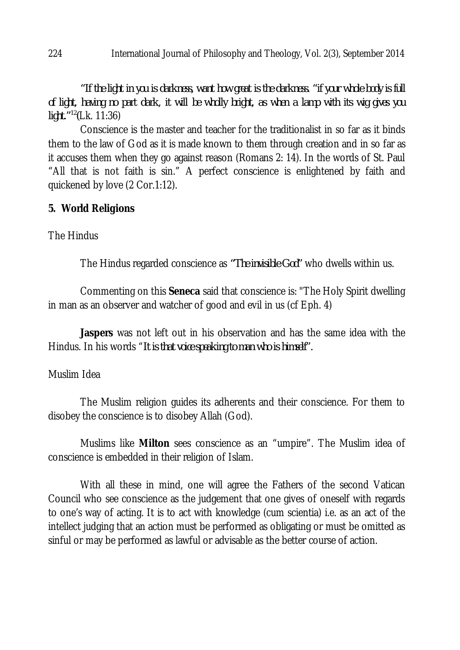*"If the light in you is darkness, want how great is the darkness. "if your whole body is full of light, having no part dark, it will be wholly bright, as when a lamp with its wig gives you light."<sup>12</sup>(*Lk. 11:36)

Conscience is the master and teacher for the traditionalist in so far as it binds them to the law of God as it is made known to them through creation and in so far as it accuses them when they go against reason (Romans 2: 14). In the words of St. Paul "All that is not faith is sin." A perfect conscience is enlightened by faith and quickened by love (2 Cor.1:12).

## **5. World Religions**

The Hindus

The Hindus regarded conscience as *"The invisible God"* who dwells within us.

Commenting on this **Seneca** said that conscience is: "The Holy Spirit dwelling in man as an observer and watcher of good and evil in us (cf Eph. 4)

**Jaspers** was not left out in his observation and has the same idea with the Hindus. In his words "*It is that voice speaking to man who is himself".*

### Muslim Idea

The Muslim religion guides its adherents and their conscience. For them to disobey the conscience is to disobey Allah (God).

Muslims like **Milton** sees conscience as an "umpire". The Muslim idea of conscience is embedded in their religion of Islam.

With all these in mind, one will agree the Fathers of the second Vatican Council who see conscience as the judgement that one gives of oneself with regards to one's way of acting. It is to act with knowledge (cum scientia) i.e. as an act of the intellect judging that an action must be performed as obligating or must be omitted as sinful or may be performed as lawful or advisable as the better course of action.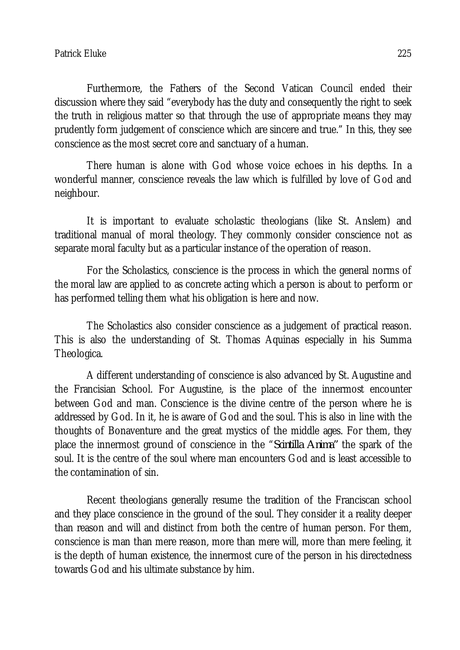Furthermore, the Fathers of the Second Vatican Council ended their discussion where they said "everybody has the duty and consequently the right to seek the truth in religious matter so that through the use of appropriate means they may prudently form judgement of conscience which are sincere and true." In this, they see conscience as the most secret core and sanctuary of a human.

There human is alone with God whose voice echoes in his depths. In a wonderful manner, conscience reveals the law which is fulfilled by love of God and neighbour.

It is important to evaluate scholastic theologians (like St. Anslem) and traditional manual of moral theology. They commonly consider conscience not as separate moral faculty but as a particular instance of the operation of reason.

For the Scholastics, conscience is the process in which the general norms of the moral law are applied to as concrete acting which a person is about to perform or has performed telling them what his obligation is here and now.

The Scholastics also consider conscience as a judgement of practical reason. This is also the understanding of St. Thomas Aquinas especially in his Summa Theologica.

A different understanding of conscience is also advanced by St. Augustine and the Francisian School. For Augustine, is the place of the innermost encounter between God and man. Conscience is the divine centre of the person where he is addressed by God. In it, he is aware of God and the soul. This is also in line with the thoughts of Bonaventure and the great mystics of the middle ages. For them, they place the innermost ground of conscience in the "*Scintilla Anima"* the spark of the soul. It is the centre of the soul where man encounters God and is least accessible to the contamination of sin.

Recent theologians generally resume the tradition of the Franciscan school and they place conscience in the ground of the soul. They consider it a reality deeper than reason and will and distinct from both the centre of human person. For them, conscience is man than mere reason, more than mere will, more than mere feeling, it is the depth of human existence, the innermost cure of the person in his directedness towards God and his ultimate substance by him.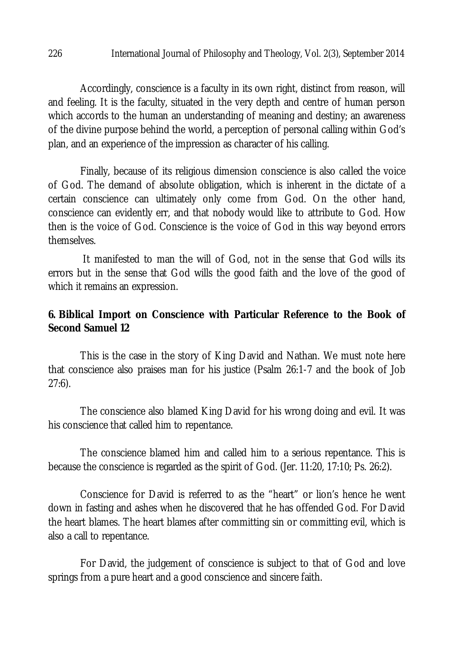Accordingly, conscience is a faculty in its own right, distinct from reason, will and feeling. It is the faculty, situated in the very depth and centre of human person which accords to the human an understanding of meaning and destiny; an awareness of the divine purpose behind the world, a perception of personal calling within God's plan, and an experience of the impression as character of his calling.

Finally, because of its religious dimension conscience is also called the voice of God. The demand of absolute obligation, which is inherent in the dictate of a certain conscience can ultimately only come from God. On the other hand, conscience can evidently err, and that nobody would like to attribute to God. How then is the voice of God. Conscience is the voice of God in this way beyond errors themselves.

It manifested to man the will of God, not in the sense that God wills its errors but in the sense that God wills the good faith and the love of the good of which it remains an expression.

### **6. Biblical Import on Conscience with Particular Reference to the Book of Second Samuel 12**

This is the case in the story of King David and Nathan. We must note here that conscience also praises man for his justice (Psalm 26:1-7 and the book of Job 27:6).

The conscience also blamed King David for his wrong doing and evil. It was his conscience that called him to repentance.

The conscience blamed him and called him to a serious repentance. This is because the conscience is regarded as the spirit of God. (Jer. 11:20, 17:10; Ps. 26:2).

Conscience for David is referred to as the "heart" or lion's hence he went down in fasting and ashes when he discovered that he has offended God. For David the heart blames. The heart blames after committing sin or committing evil, which is also a call to repentance.

For David, the judgement of conscience is subject to that of God and love springs from a pure heart and a good conscience and sincere faith.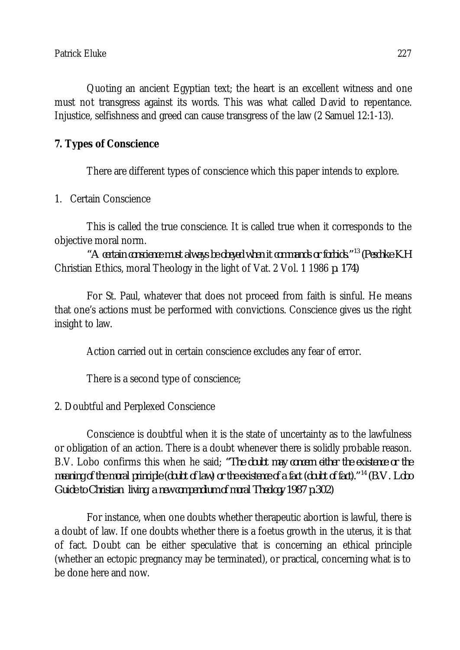Quoting an ancient Egyptian text; the heart is an excellent witness and one must not transgress against its words. This was what called David to repentance. Injustice, selfishness and greed can cause transgress of the law (2 Samuel 12:1-13).

## **7. Types of Conscience**

There are different types of conscience which this paper intends to explore.

## 1. Certain Conscience

This is called the true conscience. It is called true when it corresponds to the objective moral norm.

*"A certain conscience must always be obeyed when it commands or forbids."<sup>13</sup>(Peschke K.H*  Christian Ethics, moral Theology in the light of Vat. 2 Vol. 1 1986 *p. 174)*

For St. Paul, whatever that does not proceed from faith is sinful. He means that one's actions must be performed with convictions. Conscience gives us the right insight to law.

Action carried out in certain conscience excludes any fear of error.

There is a second type of conscience;

# 2. Doubtful and Perplexed Conscience

Conscience is doubtful when it is the state of uncertainty as to the lawfulness or obligation of an action. There is a doubt whenever there is solidly probable reason. B.V. Lobo confirms this when he said; *"The doubt may concern either the existence or the meaning of the moral principle (doubt of law) or the existence of a fact (doubt of fact)."<sup>14</sup>(B.V. Lobo Guide to Christian living, a new compendium of moral Theology 1987 p.302)*

For instance, when one doubts whether therapeutic abortion is lawful, there is a doubt of law. If one doubts whether there is a foetus growth in the uterus, it is that of fact. Doubt can be either speculative that is concerning an ethical principle (whether an ectopic pregnancy may be terminated), or practical, concerning what is to be done here and now.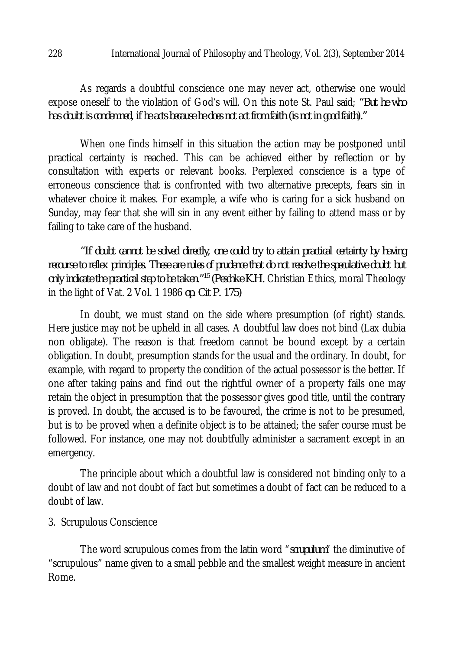As regards a doubtful conscience one may never act, otherwise one would expose oneself to the violation of God's will. On this note St. Paul said; *"But he who has doubt is condemned, if he acts because he does not act from faith (is not in good faith)."* 

When one finds himself in this situation the action may be postponed until practical certainty is reached. This can be achieved either by reflection or by consultation with experts or relevant books. Perplexed conscience is a type of erroneous conscience that is confronted with two alternative precepts, fears sin in whatever choice it makes. For example, a wife who is caring for a sick husband on Sunday, may fear that she will sin in any event either by failing to attend mass or by failing to take care of the husband.

*"If doubt cannot be solved directly, one could try to attain practical certainty by having recourse to reflex principles. These are rules of prudence that do not resolve the speculative doubt but only indicate the practical step to be taken."<sup>15</sup>(Peschke K.H.* Christian Ethics, moral Theology in the light of Vat. 2 Vol. 1 1986 *op. Cit P. 175)* 

In doubt, we must stand on the side where presumption (of right) stands. Here justice may not be upheld in all cases. A doubtful law does not bind (Lax dubia non obligate). The reason is that freedom cannot be bound except by a certain obligation. In doubt, presumption stands for the usual and the ordinary. In doubt, for example, with regard to property the condition of the actual possessor is the better. If one after taking pains and find out the rightful owner of a property fails one may retain the object in presumption that the possessor gives good title, until the contrary is proved. In doubt, the accused is to be favoured, the crime is not to be presumed, but is to be proved when a definite object is to be attained; the safer course must be followed. For instance, one may not doubtfully administer a sacrament except in an emergency.

The principle about which a doubtful law is considered not binding only to a doubt of law and not doubt of fact but sometimes a doubt of fact can be reduced to a doubt of law.

### 3. Scrupulous Conscience

The word scrupulous comes from the latin word "*scrupulum*" the diminutive of "scrupulous" name given to a small pebble and the smallest weight measure in ancient Rome.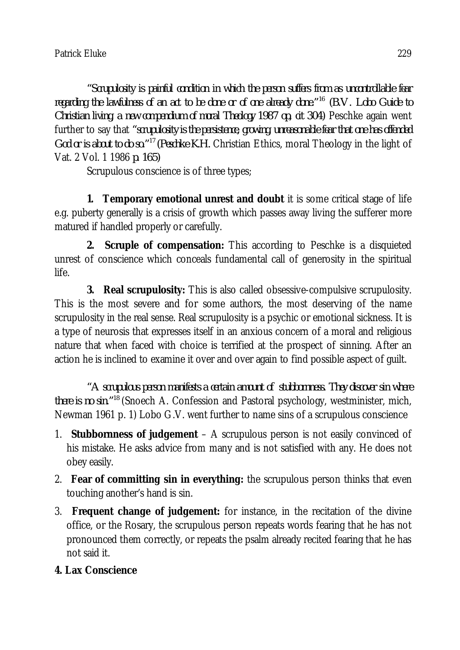*"Scrupulosity is painful condition in which the person suffers from as uncontrollable fear regarding the lawfulness of an act to be done or of one already done."<sup>16</sup> (B.V. Lobo Guide to Christian living, a new compendium of moral Theology 1987 op, cit 304)* Peschke again went further to say that *"scrupulosity is the persistence, growing, unreasonable fear that one has offended God or is about to do so."<sup>17</sup>(Peschke K.H.* Christian Ethics, moral Theology in the light of Vat. 2 Vol. 1 1986 *p. 165)*

Scrupulous conscience is of three types;

**1. Temporary emotional unrest and doubt** it is some critical stage of life e.g. puberty generally is a crisis of growth which passes away living the sufferer more matured if handled properly or carefully.

**2. Scruple of compensation:** This according to Peschke is a disquieted unrest of conscience which conceals fundamental call of generosity in the spiritual life.

**3. Real scrupulosity:** This is also called obsessive-compulsive scrupulosity. This is the most severe and for some authors, the most deserving of the name scrupulosity in the real sense. Real scrupulosity is a psychic or emotional sickness. It is a type of neurosis that expresses itself in an anxious concern of a moral and religious nature that when faced with choice is terrified at the prospect of sinning. After an action he is inclined to examine it over and over again to find possible aspect of guilt.

*"A scrupulous person manifests a certain amount of stubbornness. They discover sin where there is no sin."<sup>18</sup>* (Snoech A. Confession and Pastoral psychology, westminister, mich, Newman 1961 p. 1) Lobo G.V. went further to name sins of a scrupulous conscience

- 1. **Stubbornness of judgement** A scrupulous person is not easily convinced of his mistake. He asks advice from many and is not satisfied with any. He does not obey easily.
- 2. **Fear of committing sin in everything:** the scrupulous person thinks that even touching another's hand is sin.
- 3. **Frequent change of judgement:** for instance, in the recitation of the divine office, or the Rosary, the scrupulous person repeats words fearing that he has not pronounced them correctly, or repeats the psalm already recited fearing that he has not said it.

# **4. Lax Conscience**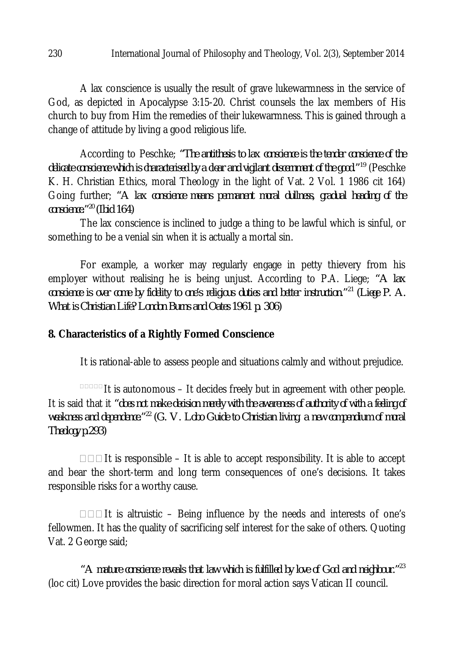A lax conscience is usually the result of grave lukewarmness in the service of God, as depicted in Apocalypse 3:15-20. Christ counsels the lax members of His church to buy from Him the remedies of their lukewarmness. This is gained through a change of attitude by living a good religious life.

According to Peschke; *"The antithesis to lax conscience is the tender conscience of the delicate conscience which is characterised by a clear and vigilant discernment of the good."<sup>19</sup>* (Peschke K. H. Christian Ethics, moral Theology in the light of Vat. 2 Vol. 1 1986 cit 164) Going further; *"A lax conscience means permanent moral dullness, gradual heading of the conscience."<sup>20</sup>(Ibid 164)*

The lax conscience is inclined to judge a thing to be lawful which is sinful, or something to be a venial sin when it is actually a mortal sin.

For example, a worker may regularly engage in petty thievery from his employer without realising he is being unjust. According to P.A. Liege; *"A lax conscience is over come by fidelity to one's religious duties and better instruction."<sup>21</sup>(Liege P. A. What is Christian Life? London Burns and Oates 1961 p. 306)*

# **8. Characteristics of a Rightly Formed Conscience**

It is rational-able to assess people and situations calmly and without prejudice.

 $\overline{\phantom{a}}$  it is autonomous – It decides freely but in agreement with other people. It is said that it *"does not make decision merely with the awareness of authority of with a feeling of weakness and dependence."<sup>22</sup>(G. V. Lobo Guide to Christian living, a new compendium of moral Theology p.293)*

 $\Box$  $\Box$  It is responsible – It is able to accept responsibility. It is able to accept and bear the short-term and long term consequences of one's decisions. It takes responsible risks for a worthy cause.

 $\Box$  $\Box$  It is altruistic – Being influence by the needs and interests of one's fellowmen. It has the quality of sacrificing self interest for the sake of others. Quoting Vat. 2 George said;

*"A mature conscience reveals that law which is fulfilled by love of God and neighbour."<sup>23</sup>* (loc cit) Love provides the basic direction for moral action says Vatican II council.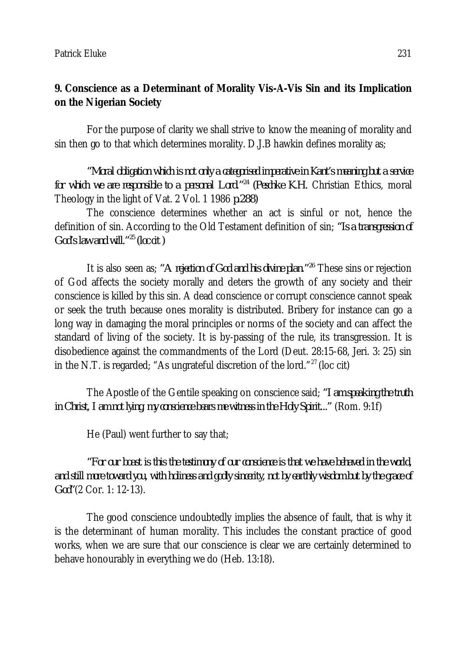# **9. Conscience as a Determinant of Morality Vis-A-Vis Sin and its Implication on the Nigerian Society**

For the purpose of clarity we shall strive to know the meaning of morality and sin then go to that which determines morality. D.J.B hawkin defines morality as;

*"Moral obligation which is not only a categorised imperative in Kant's meaning but a service for which we are responsible to a personal Lord." <sup>24</sup>(Peschke K.H.* Christian Ethics, moral Theology in the light of Vat. 2 Vol. 1 1986 *p.288)*

The conscience determines whether an act is sinful or not, hence the definition of sin. According to the Old Testament definition of sin; *"Is a transgression of God's law and will."<sup>25</sup>(loc cit )*

It is also seen as; *"A rejection of God and his divine plan."<sup>26</sup>* These sins or rejection of God affects the society morally and deters the growth of any society and their conscience is killed by this sin. A dead conscience or corrupt conscience cannot speak or seek the truth because ones morality is distributed. Bribery for instance can go a long way in damaging the moral principles or norms of the society and can affect the standard of living of the society. It is by-passing of the rule, its transgression. It is disobedience against the commandments of the Lord (Deut. 28:15-68, Jeri. 3: 25) sin in the N.T. is regarded; "As ungrateful discretion of the lord." $^{27}$  (loc cit)

The Apostle of the Gentile speaking on conscience said; *"I am speaking the truth in Christ, I am not lying, my conscience bears me witness in the Holy Spirit..."* (Rom. 9:1f)

He (Paul) went further to say that;

*"For our boast is this the testimony of our conscience is that we have behaved in the world, and still more toward you, with holiness and godly sincerity, not by earthly wisdom but by the grace of God"*(2 Cor. 1: 12-13).

The good conscience undoubtedly implies the absence of fault, that is why it is the determinant of human morality. This includes the constant practice of good works, when we are sure that our conscience is clear we are certainly determined to behave honourably in everything we do (Heb. 13:18).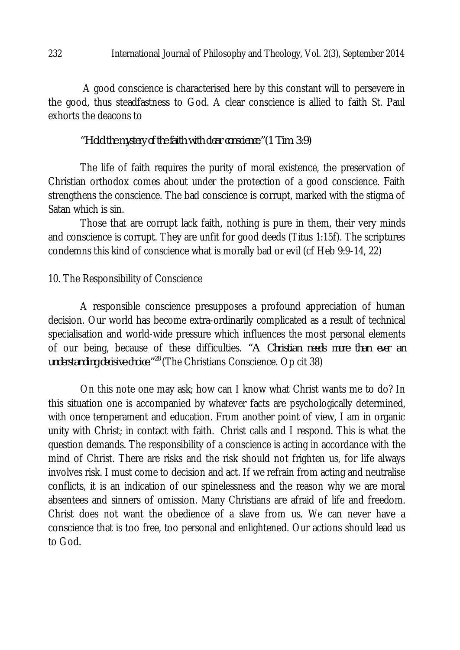A good conscience is characterised here by this constant will to persevere in the good, thus steadfastness to God. A clear conscience is allied to faith St. Paul exhorts the deacons to

*"Hold the mystery of the faith with clear conscience."(1 Tim. 3:9)* 

The life of faith requires the purity of moral existence, the preservation of Christian orthodox comes about under the protection of a good conscience. Faith strengthens the conscience. The bad conscience is corrupt, marked with the stigma of Satan which is sin.

Those that are corrupt lack faith, nothing is pure in them, their very minds and conscience is corrupt. They are unfit for good deeds (Titus 1:15f). The scriptures condemns this kind of conscience what is morally bad or evil (cf Heb 9:9-14, 22)

### 10. The Responsibility of Conscience

A responsible conscience presupposes a profound appreciation of human decision. Our world has become extra-ordinarily complicated as a result of technical specialisation and world-wide pressure which influences the most personal elements of our being, because of these difficulties. *"A Christian needs more than ever an understanding decisive choice."<sup>28</sup>*(The Christians Conscience. Op cit 38)

On this note one may ask; how can I know what Christ wants me to do? In this situation one is accompanied by whatever facts are psychologically determined, with once temperament and education. From another point of view, I am in organic unity with Christ; in contact with faith. Christ calls and I respond. This is what the question demands. The responsibility of a conscience is acting in accordance with the mind of Christ. There are risks and the risk should not frighten us, for life always involves risk. I must come to decision and act. If we refrain from acting and neutralise conflicts, it is an indication of our spinelessness and the reason why we are moral absentees and sinners of omission. Many Christians are afraid of life and freedom. Christ does not want the obedience of a slave from us. We can never have a conscience that is too free, too personal and enlightened. Our actions should lead us to God.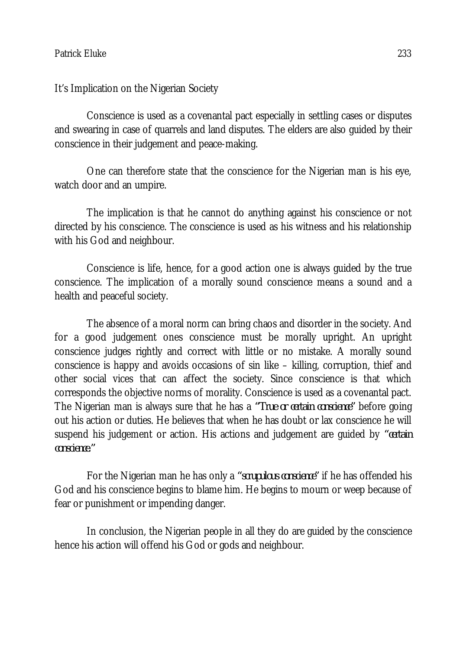It's Implication on the Nigerian Society

Conscience is used as a covenantal pact especially in settling cases or disputes and swearing in case of quarrels and land disputes. The elders are also guided by their conscience in their judgement and peace-making.

One can therefore state that the conscience for the Nigerian man is his eye, watch door and an umpire.

The implication is that he cannot do anything against his conscience or not directed by his conscience. The conscience is used as his witness and his relationship with his God and neighbour.

Conscience is life, hence, for a good action one is always guided by the true conscience. The implication of a morally sound conscience means a sound and a health and peaceful society.

The absence of a moral norm can bring chaos and disorder in the society. And for a good judgement ones conscience must be morally upright. An upright conscience judges rightly and correct with little or no mistake. A morally sound conscience is happy and avoids occasions of sin like – killing, corruption, thief and other social vices that can affect the society. Since conscience is that which corresponds the objective norms of morality. Conscience is used as a covenantal pact. The Nigerian man is always sure that he has a *"True or certain conscience"* before going out his action or duties. He believes that when he has doubt or lax conscience he will suspend his judgement or action. His actions and judgement are guided by *"certain conscience."*

For the Nigerian man he has only a *"scrupulous conscience"* if he has offended his God and his conscience begins to blame him. He begins to mourn or weep because of fear or punishment or impending danger.

In conclusion, the Nigerian people in all they do are guided by the conscience hence his action will offend his God or gods and neighbour.